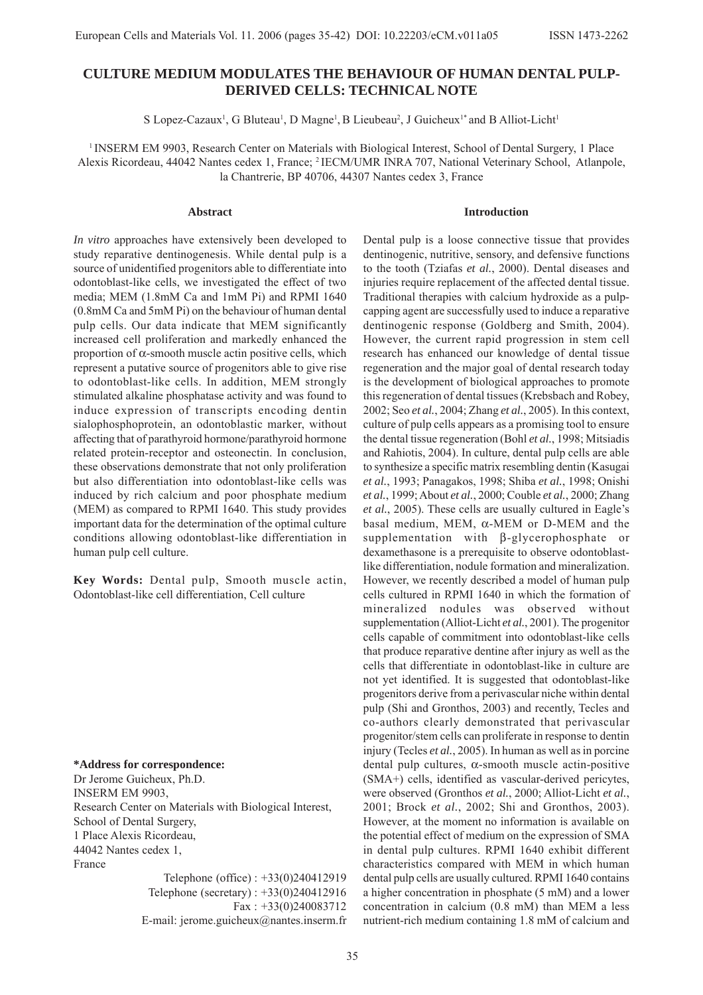# **CULTURE MEDIUM MODULATES THE BEHAVIOUR OF HUMAN DENTAL PULP-DERIVED CELLS: TECHNICAL NOTE**

S Lopez-Cazaux<sup>1</sup>, G Bluteau<sup>1</sup>, D Magne<sup>1</sup>, B Lieubeau<sup>2</sup>, J Guicheux<sup>1\*</sup> and B Alliot-Licht<sup>1</sup>

1 INSERM EM 9903, Research Center on Materials with Biological Interest, School of Dental Surgery, 1 Place Alexis Ricordeau, 44042 Nantes cedex 1, France; 2 IECM/UMR INRA 707, National Veterinary School, Atlanpole, la Chantrerie, BP 40706, 44307 Nantes cedex 3, France

#### **Abstract**

*In vitro* approaches have extensively been developed to study reparative dentinogenesis. While dental pulp is a source of unidentified progenitors able to differentiate into odontoblast-like cells, we investigated the effect of two media; MEM (1.8mM Ca and 1mM Pi) and RPMI 1640 (0.8mM Ca and 5mM Pi) on the behaviour of human dental pulp cells. Our data indicate that MEM significantly increased cell proliferation and markedly enhanced the proportion of α-smooth muscle actin positive cells, which represent a putative source of progenitors able to give rise to odontoblast-like cells. In addition, MEM strongly stimulated alkaline phosphatase activity and was found to induce expression of transcripts encoding dentin sialophosphoprotein, an odontoblastic marker, without affecting that of parathyroid hormone/parathyroid hormone related protein-receptor and osteonectin. In conclusion, these observations demonstrate that not only proliferation but also differentiation into odontoblast-like cells was induced by rich calcium and poor phosphate medium (MEM) as compared to RPMI 1640. This study provides important data for the determination of the optimal culture conditions allowing odontoblast-like differentiation in human pulp cell culture.

**Key Words:** Dental pulp, Smooth muscle actin, Odontoblast-like cell differentiation, Cell culture

#### **\*Address for correspondence:**

Dr Jerome Guicheux, Ph.D. INSERM EM 9903, Research Center on Materials with Biological Interest, School of Dental Surgery, 1 Place Alexis Ricordeau, 44042 Nantes cedex 1, France

> Telephone (office) : +33(0)240412919 Telephone (secretary) : +33(0)240412916 Fax : +33(0)240083712 E-mail: jerome.guicheux@nantes.inserm.fr

Dental pulp is a loose connective tissue that provides dentinogenic, nutritive, sensory, and defensive functions to the tooth (Tziafas *et al.*, 2000). Dental diseases and injuries require replacement of the affected dental tissue. Traditional therapies with calcium hydroxide as a pulpcapping agent are successfully used to induce a reparative dentinogenic response (Goldberg and Smith, 2004). However, the current rapid progression in stem cell research has enhanced our knowledge of dental tissue regeneration and the major goal of dental research today is the development of biological approaches to promote this regeneration of dental tissues (Krebsbach and Robey, 2002; Seo *et al.*, 2004; Zhang *et al.*, 2005). In this context, culture of pulp cells appears as a promising tool to ensure the dental tissue regeneration (Bohl *et al.*, 1998; Mitsiadis and Rahiotis, 2004). In culture, dental pulp cells are able to synthesize a specific matrix resembling dentin (Kasugai *et al.*, 1993; Panagakos, 1998; Shiba *et al.*, 1998; Onishi *et al.*, 1999; About *et al.*, 2000; Couble *et al.*, 2000; Zhang *et al.*, 2005). These cells are usually cultured in Eagle's basal medium, MEM, α-MEM or D-MEM and the supplementation with β-glycerophosphate or dexamethasone is a prerequisite to observe odontoblastlike differentiation, nodule formation and mineralization. However, we recently described a model of human pulp cells cultured in RPMI 1640 in which the formation of mineralized nodules was observed without supplementation (Alliot-Licht *et al.*, 2001). The progenitor cells capable of commitment into odontoblast-like cells that produce reparative dentine after injury as well as the cells that differentiate in odontoblast-like in culture are not yet identified. It is suggested that odontoblast-like progenitors derive from a perivascular niche within dental pulp (Shi and Gronthos, 2003) and recently, Tecles and co-authors clearly demonstrated that perivascular progenitor/stem cells can proliferate in response to dentin injury (Tecles *et al.*, 2005). In human as well as in porcine dental pulp cultures, α-smooth muscle actin-positive (SMA+) cells, identified as vascular-derived pericytes, were observed (Gronthos *et al.*, 2000; Alliot-Licht *et al.*, 2001; Brock *et al.*, 2002; Shi and Gronthos, 2003). However, at the moment no information is available on the potential effect of medium on the expression of SMA in dental pulp cultures. RPMI 1640 exhibit different characteristics compared with MEM in which human dental pulp cells are usually cultured. RPMI 1640 contains a higher concentration in phosphate (5 mM) and a lower concentration in calcium (0.8 mM) than MEM a less nutrient-rich medium containing 1.8 mM of calcium and

**Introduction**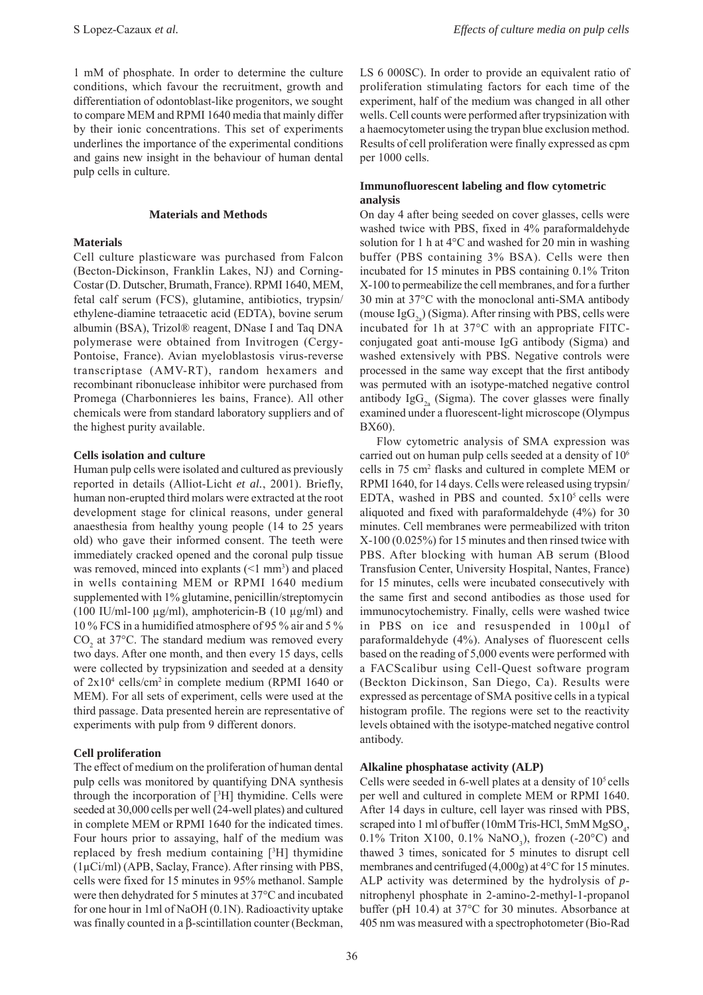1 mM of phosphate. In order to determine the culture conditions, which favour the recruitment, growth and differentiation of odontoblast-like progenitors, we sought to compare MEM and RPMI 1640 media that mainly differ by their ionic concentrations. This set of experiments underlines the importance of the experimental conditions and gains new insight in the behaviour of human dental pulp cells in culture.

#### **Materials and Methods**

## **Materials**

Cell culture plasticware was purchased from Falcon (Becton-Dickinson, Franklin Lakes, NJ) and Corning-Costar (D. Dutscher, Brumath, France). RPMI 1640, MEM, fetal calf serum (FCS), glutamine, antibiotics, trypsin/ ethylene-diamine tetraacetic acid (EDTA), bovine serum albumin (BSA), Trizol® reagent, DNase I and Taq DNA polymerase were obtained from Invitrogen (Cergy-Pontoise, France). Avian myeloblastosis virus-reverse transcriptase (AMV-RT), random hexamers and recombinant ribonuclease inhibitor were purchased from Promega (Charbonnieres les bains, France). All other chemicals were from standard laboratory suppliers and of the highest purity available.

## **Cells isolation and culture**

Human pulp cells were isolated and cultured as previously reported in details (Alliot-Licht *et al.*, 2001). Briefly, human non-erupted third molars were extracted at the root development stage for clinical reasons, under general anaesthesia from healthy young people (14 to 25 years old) who gave their informed consent. The teeth were immediately cracked opened and the coronal pulp tissue was removed, minced into explants  $(\leq 1 \text{ mm}^3)$  and placed in wells containing MEM or RPMI 1640 medium supplemented with 1% glutamine, penicillin/streptomycin (100 IU/ml-100 µg/ml), amphotericin-B (10 µg/ml) and 10 % FCS in a humidified atmosphere of 95 % air and 5 %  $CO<sub>2</sub>$  at 37°C. The standard medium was removed every two days. After one month, and then every 15 days, cells were collected by trypsinization and seeded at a density of 2x104 cells/cm2 in complete medium (RPMI 1640 or MEM). For all sets of experiment, cells were used at the third passage. Data presented herein are representative of experiments with pulp from 9 different donors.

## **Cell proliferation**

The effect of medium on the proliferation of human dental pulp cells was monitored by quantifying DNA synthesis through the incorporation of [3 H] thymidine. Cells were seeded at 30,000 cells per well (24-well plates) and cultured in complete MEM or RPMI 1640 for the indicated times. Four hours prior to assaying, half of the medium was replaced by fresh medium containing [3 H] thymidine (1µCi/ml) (APB, Saclay, France). After rinsing with PBS, cells were fixed for 15 minutes in 95% methanol. Sample were then dehydrated for 5 minutes at 37°C and incubated for one hour in 1ml of NaOH (0.1N). Radioactivity uptake was finally counted in a β-scintillation counter (Beckman,

LS 6 000SC). In order to provide an equivalent ratio of proliferation stimulating factors for each time of the experiment, half of the medium was changed in all other wells. Cell counts were performed after trypsinization with a haemocytometer using the trypan blue exclusion method. Results of cell proliferation were finally expressed as cpm per 1000 cells.

# **Immunofluorescent labeling and flow cytometric analysis**

On day 4 after being seeded on cover glasses, cells were washed twice with PBS, fixed in 4% paraformaldehyde solution for 1 h at 4°C and washed for 20 min in washing buffer (PBS containing 3% BSA). Cells were then incubated for 15 minutes in PBS containing 0.1% Triton X-100 to permeabilize the cell membranes, and for a further 30 min at 37°C with the monoclonal anti-SMA antibody (mouse  $\text{IgG}_{2a}$ ) (Sigma). After rinsing with PBS, cells were incubated for 1h at 37°C with an appropriate FITCconjugated goat anti-mouse IgG antibody (Sigma) and washed extensively with PBS. Negative controls were processed in the same way except that the first antibody was permuted with an isotype-matched negative control antibody  $\text{IgG}_{2a}$  (Sigma). The cover glasses were finally examined under a fluorescent-light microscope (Olympus BX60).

Flow cytometric analysis of SMA expression was carried out on human pulp cells seeded at a density of 106 cells in 75 cm<sup>2</sup> flasks and cultured in complete MEM or RPMI 1640, for 14 days. Cells were released using trypsin/ EDTA, washed in PBS and counted.  $5x10^5$  cells were aliquoted and fixed with paraformaldehyde (4%) for 30 minutes. Cell membranes were permeabilized with triton X-100 (0.025%) for 15 minutes and then rinsed twice with PBS. After blocking with human AB serum (Blood Transfusion Center, University Hospital, Nantes, France) for 15 minutes, cells were incubated consecutively with the same first and second antibodies as those used for immunocytochemistry. Finally, cells were washed twice in PBS on ice and resuspended in 100µl of paraformaldehyde (4%). Analyses of fluorescent cells based on the reading of 5,000 events were performed with a FACScalibur using Cell-Quest software program (Beckton Dickinson, San Diego, Ca). Results were expressed as percentage of SMA positive cells in a typical histogram profile. The regions were set to the reactivity levels obtained with the isotype-matched negative control antibody.

## **Alkaline phosphatase activity (ALP)**

Cells were seeded in 6-well plates at a density of  $10<sup>5</sup>$  cells per well and cultured in complete MEM or RPMI 1640. After 14 days in culture, cell layer was rinsed with PBS, scraped into 1 ml of buffer (10mM Tris-HCl, 5mM  $MgSO<sub>4</sub>$ , 0.1% Triton X100, 0.1%  $\text{NaNO}_3$ ), frozen (-20°C) and thawed 3 times, sonicated for 5 minutes to disrupt cell membranes and centrifuged (4,000g) at 4°C for 15 minutes. ALP activity was determined by the hydrolysis of *p*nitrophenyl phosphate in 2-amino-2-methyl-1-propanol buffer (pH 10.4) at 37°C for 30 minutes. Absorbance at 405 nm was measured with a spectrophotometer (Bio-Rad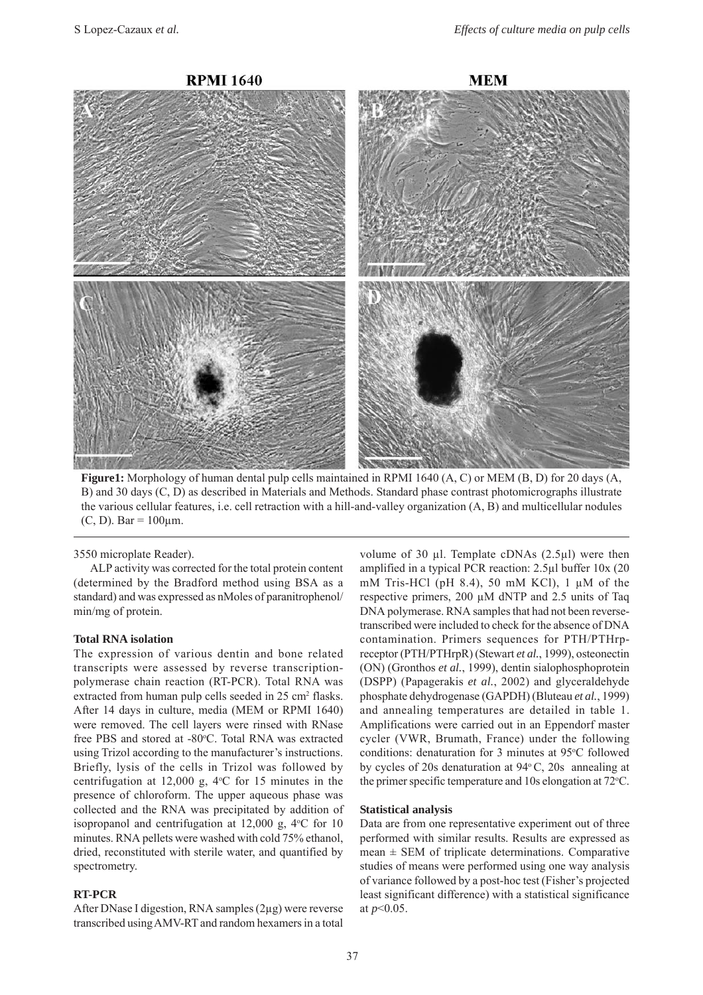

**Figure1:** Morphology of human dental pulp cells maintained in RPMI 1640 (A, C) or MEM (B, D) for 20 days (A, B) and 30 days (C, D) as described in Materials and Methods. Standard phase contrast photomicrographs illustrate the various cellular features, i.e. cell retraction with a hill-and-valley organization (A, B) and multicellular nodules (C, D). Bar =  $100 \mu m$ .

3550 microplate Reader).

ALP activity was corrected for the total protein content (determined by the Bradford method using BSA as a standard) and was expressed as nMoles of paranitrophenol/ min/mg of protein.

## **Total RNA isolation**

The expression of various dentin and bone related transcripts were assessed by reverse transcriptionpolymerase chain reaction (RT-PCR). Total RNA was extracted from human pulp cells seeded in 25 cm<sup>2</sup> flasks. After 14 days in culture, media (MEM or RPMI 1640) were removed. The cell layers were rinsed with RNase free PBS and stored at -80°C. Total RNA was extracted using Trizol according to the manufacturer's instructions. Briefly, lysis of the cells in Trizol was followed by centrifugation at  $12,000$  g,  $4^{\circ}$ C for 15 minutes in the presence of chloroform. The upper aqueous phase was collected and the RNA was precipitated by addition of isopropanol and centrifugation at 12,000 g, 4°C for 10 minutes. RNA pellets were washed with cold 75% ethanol, dried, reconstituted with sterile water, and quantified by spectrometry.

#### **RT-PCR**

After DNase I digestion, RNA samples (2µg) were reverse transcribed using AMV-RT and random hexamers in a total volume of 30 µl. Template cDNAs (2.5µl) were then amplified in a typical PCR reaction: 2.5µl buffer 10x (20 mM Tris-HCl (pH 8.4), 50 mM KCl), 1 µM of the respective primers, 200 µM dNTP and 2.5 units of Taq DNA polymerase. RNA samples that had not been reversetranscribed were included to check for the absence of DNA contamination. Primers sequences for PTH/PTHrpreceptor (PTH/PTHrpR) (Stewart *et al.*, 1999), osteonectin (ON) (Gronthos *et al.*, 1999), dentin sialophosphoprotein (DSPP) (Papagerakis *et al.*, 2002) and glyceraldehyde phosphate dehydrogenase (GAPDH) (Bluteau *et al.*, 1999) and annealing temperatures are detailed in table 1. Amplifications were carried out in an Eppendorf master cycler (VWR, Brumath, France) under the following conditions: denaturation for 3 minutes at 95°C followed by cycles of 20s denaturation at  $94^{\circ}$  C, 20s annealing at the primer specific temperature and  $10s$  elongation at  $72^{\circ}$ C.

## **Statistical analysis**

Data are from one representative experiment out of three performed with similar results. Results are expressed as mean  $\pm$  SEM of triplicate determinations. Comparative studies of means were performed using one way analysis of variance followed by a post-hoc test (Fisher's projected least significant difference) with a statistical significance at *p*<0.05.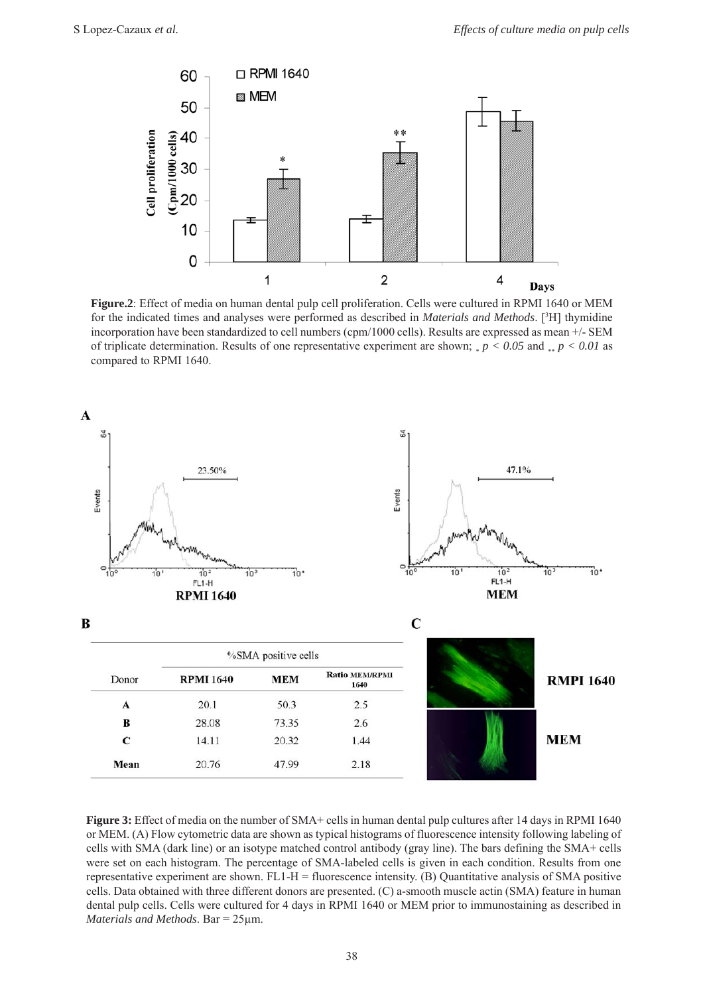

**Figure.2**: Effect of media on human dental pulp cell proliferation. Cells were cultured in RPMI 1640 or MEM for the indicated times and analyses were performed as described in *Materials and Methods*. [3 H] thymidine incorporation have been standardized to cell numbers (cpm/1000 cells). Results are expressed as mean +/- SEM of triplicate determination. Results of one representative experiment are shown;  $_{*}p < 0.05$  and  $_{**}p < 0.01$  as compared to RPMI 1640.



Figure 3: Effect of media on the number of SMA+ cells in human dental pulp cultures after 14 days in RPMI 1640 or MEM. (A) Flow cytometric data are shown as typical histograms of fluorescence intensity following labeling of cells with SMA (dark line) or an isotype matched control antibody (gray line). The bars defining the SMA+ cells were set on each histogram. The percentage of SMA-labeled cells is given in each condition. Results from one representative experiment are shown. FL1-H = fluorescence intensity. (B) Quantitative analysis of SMA positive cells. Data obtained with three different donors are presented. (C) a-smooth muscle actin (SMA) feature in human dental pulp cells. Cells were cultured for 4 days in RPMI 1640 or MEM prior to immunostaining as described in *Materials and Methods*. Bar = 25µm.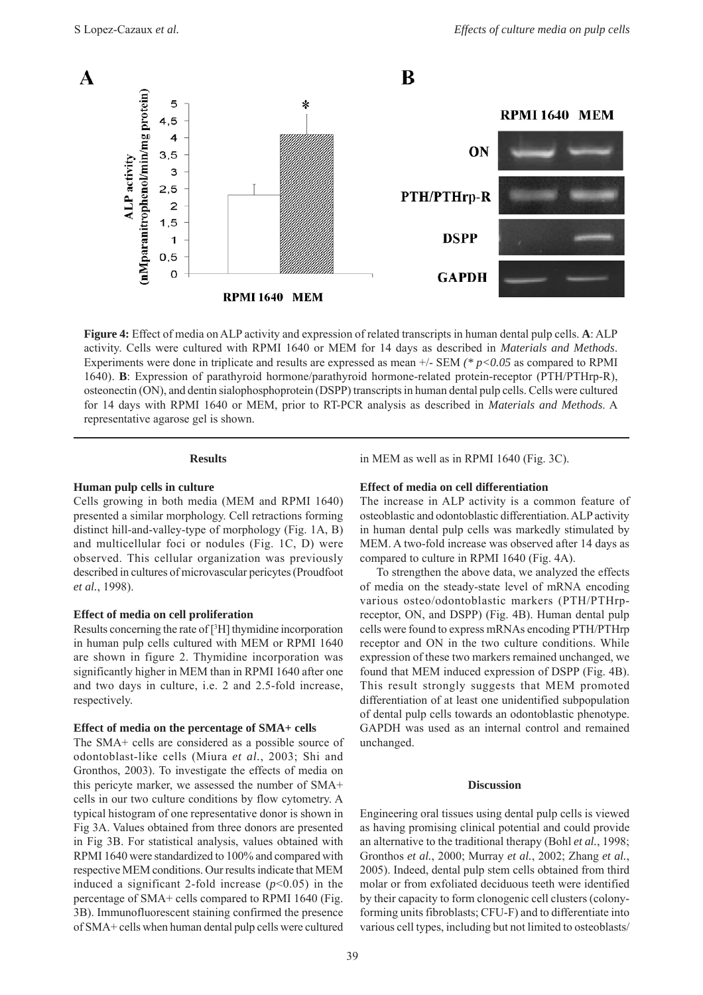

**Figure 4:** Effect of media on ALP activity and expression of related transcripts in human dental pulp cells. **A**: ALP activity. Cells were cultured with RPMI 1640 or MEM for 14 days as described in *Materials and Methods*. Experiments were done in triplicate and results are expressed as mean +/- SEM *(\* p<0.05* as compared to RPMI 1640). **B**: Expression of parathyroid hormone/parathyroid hormone-related protein-receptor (PTH/PTHrp-R), osteonectin (ON), and dentin sialophosphoprotein (DSPP) transcripts in human dental pulp cells. Cells were cultured for 14 days with RPMI 1640 or MEM, prior to RT-PCR analysis as described in *Materials and Methods*. A representative agarose gel is shown.

# **Results**

## **Human pulp cells in culture**

Cells growing in both media (MEM and RPMI 1640) presented a similar morphology. Cell retractions forming distinct hill-and-valley-type of morphology (Fig. 1A, B) and multicellular foci or nodules (Fig. 1C, D) were observed. This cellular organization was previously described in cultures of microvascular pericytes (Proudfoot *et al.*, 1998).

#### **Effect of media on cell proliferation**

Results concerning the rate of [3 H] thymidine incorporation in human pulp cells cultured with MEM or RPMI 1640 are shown in figure 2. Thymidine incorporation was significantly higher in MEM than in RPMI 1640 after one and two days in culture, i.e. 2 and 2.5-fold increase, respectively.

## **Effect of media on the percentage of SMA+ cells**

The SMA+ cells are considered as a possible source of odontoblast-like cells (Miura *et al.*, 2003; Shi and Gronthos, 2003). To investigate the effects of media on this pericyte marker, we assessed the number of SMA+ cells in our two culture conditions by flow cytometry. A typical histogram of one representative donor is shown in Fig 3A. Values obtained from three donors are presented in Fig 3B. For statistical analysis, values obtained with RPMI 1640 were standardized to 100% and compared with respective MEM conditions. Our results indicate that MEM induced a significant 2-fold increase  $(p<0.05)$  in the percentage of SMA+ cells compared to RPMI 1640 (Fig. 3B). Immunofluorescent staining confirmed the presence of SMA+ cells when human dental pulp cells were cultured in MEM as well as in RPMI 1640 (Fig. 3C).

# **Effect of media on cell differentiation**

The increase in ALP activity is a common feature of osteoblastic and odontoblastic differentiation. ALP activity in human dental pulp cells was markedly stimulated by MEM. A two-fold increase was observed after 14 days as compared to culture in RPMI 1640 (Fig. 4A).

To strengthen the above data, we analyzed the effects of media on the steady-state level of mRNA encoding various osteo/odontoblastic markers (PTH/PTHrpreceptor, ON, and DSPP) (Fig. 4B). Human dental pulp cells were found to express mRNAs encoding PTH/PTHrp receptor and ON in the two culture conditions. While expression of these two markers remained unchanged, we found that MEM induced expression of DSPP (Fig. 4B). This result strongly suggests that MEM promoted differentiation of at least one unidentified subpopulation of dental pulp cells towards an odontoblastic phenotype. GAPDH was used as an internal control and remained unchanged.

## **Discussion**

Engineering oral tissues using dental pulp cells is viewed as having promising clinical potential and could provide an alternative to the traditional therapy (Bohl *et al.*, 1998; Gronthos *et al.*, 2000; Murray *et al.*, 2002; Zhang *et al.*, 2005). Indeed, dental pulp stem cells obtained from third molar or from exfoliated deciduous teeth were identified by their capacity to form clonogenic cell clusters (colonyforming units fibroblasts; CFU-F) and to differentiate into various cell types, including but not limited to osteoblasts/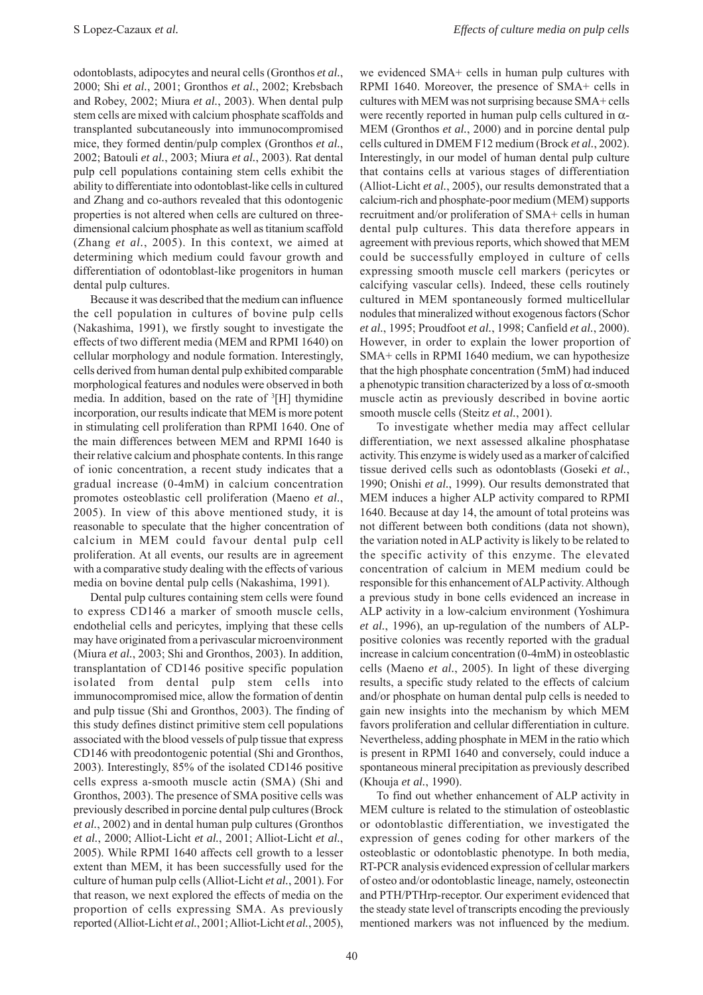odontoblasts, adipocytes and neural cells (Gronthos *et al.*, 2000; Shi *et al.*, 2001; Gronthos *et al.*, 2002; Krebsbach and Robey, 2002; Miura *et al.*, 2003). When dental pulp stem cells are mixed with calcium phosphate scaffolds and transplanted subcutaneously into immunocompromised mice, they formed dentin/pulp complex (Gronthos *et al.*, 2002; Batouli *et al.*, 2003; Miura *et al.*, 2003). Rat dental pulp cell populations containing stem cells exhibit the ability to differentiate into odontoblast-like cells in cultured and Zhang and co-authors revealed that this odontogenic properties is not altered when cells are cultured on threedimensional calcium phosphate as well as titanium scaffold (Zhang *et al.*, 2005). In this context, we aimed at determining which medium could favour growth and differentiation of odontoblast-like progenitors in human dental pulp cultures.

Because it was described that the medium can influence the cell population in cultures of bovine pulp cells (Nakashima, 1991), we firstly sought to investigate the effects of two different media (MEM and RPMI 1640) on cellular morphology and nodule formation. Interestingly, cells derived from human dental pulp exhibited comparable morphological features and nodules were observed in both media. In addition, based on the rate of <sup>3</sup>[H] thymidine incorporation, our results indicate that MEM is more potent in stimulating cell proliferation than RPMI 1640. One of the main differences between MEM and RPMI 1640 is their relative calcium and phosphate contents. In this range of ionic concentration, a recent study indicates that a gradual increase (0-4mM) in calcium concentration promotes osteoblastic cell proliferation (Maeno *et al.*, 2005). In view of this above mentioned study, it is reasonable to speculate that the higher concentration of calcium in MEM could favour dental pulp cell proliferation. At all events, our results are in agreement with a comparative study dealing with the effects of various media on bovine dental pulp cells (Nakashima, 1991).

Dental pulp cultures containing stem cells were found to express CD146 a marker of smooth muscle cells, endothelial cells and pericytes, implying that these cells may have originated from a perivascular microenvironment (Miura *et al.*, 2003; Shi and Gronthos, 2003). In addition, transplantation of CD146 positive specific population isolated from dental pulp stem cells into immunocompromised mice, allow the formation of dentin and pulp tissue (Shi and Gronthos, 2003). The finding of this study defines distinct primitive stem cell populations associated with the blood vessels of pulp tissue that express CD146 with preodontogenic potential (Shi and Gronthos, 2003). Interestingly, 85% of the isolated CD146 positive cells express a-smooth muscle actin (SMA) (Shi and Gronthos, 2003). The presence of SMA positive cells was previously described in porcine dental pulp cultures (Brock *et al.*, 2002) and in dental human pulp cultures (Gronthos *et al.*, 2000; Alliot-Licht *et al.*, 2001; Alliot-Licht *et al.*, 2005). While RPMI 1640 affects cell growth to a lesser extent than MEM, it has been successfully used for the culture of human pulp cells (Alliot-Licht *et al.*, 2001). For that reason, we next explored the effects of media on the proportion of cells expressing SMA. As previously reported (Alliot-Licht *et al.*, 2001; Alliot-Licht *et al.*, 2005),

we evidenced SMA+ cells in human pulp cultures with RPMI 1640. Moreover, the presence of SMA+ cells in cultures with MEM was not surprising because SMA+ cells were recently reported in human pulp cells cultured in  $\alpha$ -MEM (Gronthos *et al.*, 2000) and in porcine dental pulp cells cultured in DMEM F12 medium (Brock *et al.*, 2002). Interestingly, in our model of human dental pulp culture that contains cells at various stages of differentiation (Alliot-Licht *et al.*, 2005), our results demonstrated that a calcium-rich and phosphate-poor medium (MEM) supports recruitment and/or proliferation of SMA+ cells in human dental pulp cultures. This data therefore appears in agreement with previous reports, which showed that MEM could be successfully employed in culture of cells expressing smooth muscle cell markers (pericytes or calcifying vascular cells). Indeed, these cells routinely cultured in MEM spontaneously formed multicellular nodules that mineralized without exogenous factors (Schor *et al.*, 1995; Proudfoot *et al.*, 1998; Canfield *et al.*, 2000). However, in order to explain the lower proportion of SMA+ cells in RPMI 1640 medium, we can hypothesize that the high phosphate concentration (5mM) had induced a phenotypic transition characterized by a loss of  $\alpha$ -smooth muscle actin as previously described in bovine aortic smooth muscle cells (Steitz *et al.*, 2001).

To investigate whether media may affect cellular differentiation, we next assessed alkaline phosphatase activity. This enzyme is widely used as a marker of calcified tissue derived cells such as odontoblasts (Goseki *et al.*, 1990; Onishi *et al.*, 1999). Our results demonstrated that MEM induces a higher ALP activity compared to RPMI 1640. Because at day 14, the amount of total proteins was not different between both conditions (data not shown), the variation noted in ALP activity is likely to be related to the specific activity of this enzyme. The elevated concentration of calcium in MEM medium could be responsible for this enhancement of ALP activity. Although a previous study in bone cells evidenced an increase in ALP activity in a low-calcium environment (Yoshimura *et al.*, 1996), an up-regulation of the numbers of ALPpositive colonies was recently reported with the gradual increase in calcium concentration (0-4mM) in osteoblastic cells (Maeno *et al.*, 2005). In light of these diverging results, a specific study related to the effects of calcium and/or phosphate on human dental pulp cells is needed to gain new insights into the mechanism by which MEM favors proliferation and cellular differentiation in culture. Nevertheless, adding phosphate in MEM in the ratio which is present in RPMI 1640 and conversely, could induce a spontaneous mineral precipitation as previously described (Khouja *et al.*, 1990).

To find out whether enhancement of ALP activity in MEM culture is related to the stimulation of osteoblastic or odontoblastic differentiation, we investigated the expression of genes coding for other markers of the osteoblastic or odontoblastic phenotype. In both media, RT-PCR analysis evidenced expression of cellular markers of osteo and/or odontoblastic lineage, namely, osteonectin and PTH/PTHrp-receptor. Our experiment evidenced that the steady state level of transcripts encoding the previously mentioned markers was not influenced by the medium.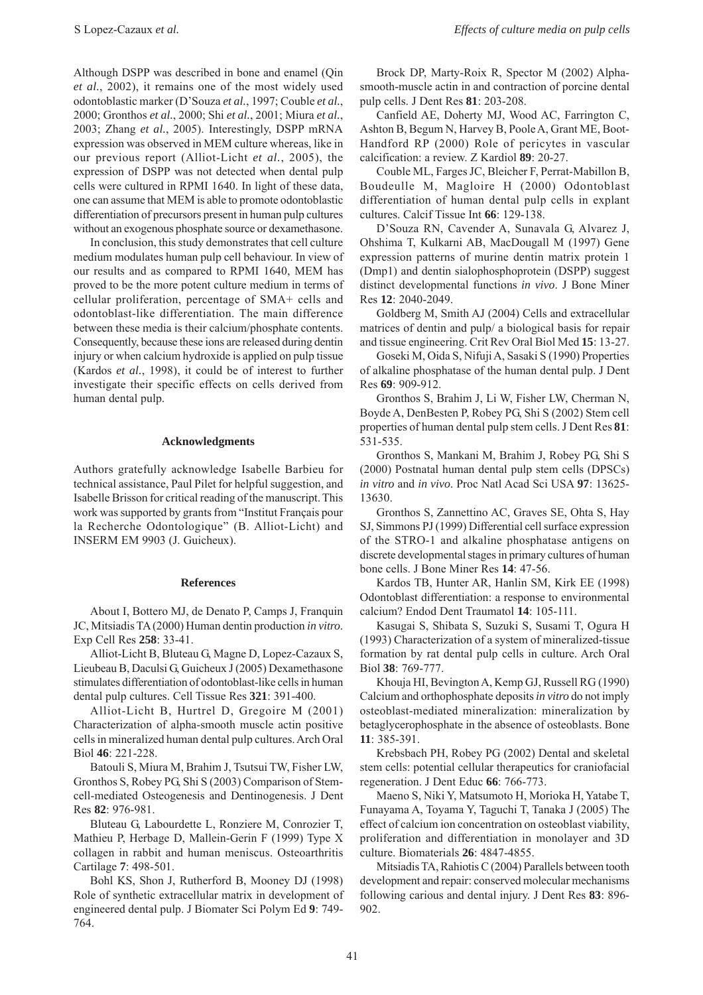Although DSPP was described in bone and enamel (Qin *et al.*, 2002), it remains one of the most widely used odontoblastic marker (D'Souza *et al.*, 1997; Couble *et al.*, 2000; Gronthos *et al.*, 2000; Shi *et al.*, 2001; Miura *et al.*, 2003; Zhang *et al.*, 2005). Interestingly, DSPP mRNA expression was observed in MEM culture whereas, like in our previous report (Alliot-Licht *et al.*, 2005), the expression of DSPP was not detected when dental pulp cells were cultured in RPMI 1640. In light of these data, one can assume that MEM is able to promote odontoblastic differentiation of precursors present in human pulp cultures without an exogenous phosphate source or dexamethasone.

In conclusion, this study demonstrates that cell culture medium modulates human pulp cell behaviour. In view of our results and as compared to RPMI 1640, MEM has proved to be the more potent culture medium in terms of cellular proliferation, percentage of SMA+ cells and odontoblast-like differentiation. The main difference between these media is their calcium/phosphate contents. Consequently, because these ions are released during dentin injury or when calcium hydroxide is applied on pulp tissue (Kardos *et al.*, 1998), it could be of interest to further investigate their specific effects on cells derived from human dental pulp.

## **Acknowledgments**

Authors gratefully acknowledge Isabelle Barbieu for technical assistance, Paul Pilet for helpful suggestion, and Isabelle Brisson for critical reading of the manuscript. This work was supported by grants from "Institut Français pour la Recherche Odontologique" (B. Alliot-Licht) and INSERM EM 9903 (J. Guicheux).

#### **References**

About I, Bottero MJ, de Denato P, Camps J, Franquin JC, Mitsiadis TA (2000) Human dentin production *in vitro*. Exp Cell Res **258**: 33-41.

Alliot-Licht B, Bluteau G, Magne D, Lopez-Cazaux S, Lieubeau B, Daculsi G, Guicheux J (2005) Dexamethasone stimulates differentiation of odontoblast-like cells in human dental pulp cultures. Cell Tissue Res **321**: 391-400.

Alliot-Licht B, Hurtrel D, Gregoire M (2001) Characterization of alpha-smooth muscle actin positive cells in mineralized human dental pulp cultures. Arch Oral Biol **46**: 221-228.

Batouli S, Miura M, Brahim J, Tsutsui TW, Fisher LW, Gronthos S, Robey PG, Shi S (2003) Comparison of Stemcell-mediated Osteogenesis and Dentinogenesis. J Dent Res **82**: 976-981.

Bluteau G, Labourdette L, Ronziere M, Conrozier T, Mathieu P, Herbage D, Mallein-Gerin F (1999) Type X collagen in rabbit and human meniscus. Osteoarthritis Cartilage **7**: 498-501.

Bohl KS, Shon J, Rutherford B, Mooney DJ (1998) Role of synthetic extracellular matrix in development of engineered dental pulp. J Biomater Sci Polym Ed **9**: 749- 764.

Brock DP, Marty-Roix R, Spector M (2002) Alphasmooth-muscle actin in and contraction of porcine dental pulp cells. J Dent Res **81**: 203-208.

Canfield AE, Doherty MJ, Wood AC, Farrington C, Ashton B, Begum N, Harvey B, Poole A, Grant ME, Boot-Handford RP (2000) Role of pericytes in vascular calcification: a review. Z Kardiol **89**: 20-27.

Couble ML, Farges JC, Bleicher F, Perrat-Mabillon B, Boudeulle M, Magloire H (2000) Odontoblast differentiation of human dental pulp cells in explant cultures. Calcif Tissue Int **66**: 129-138.

D'Souza RN, Cavender A, Sunavala G, Alvarez J, Ohshima T, Kulkarni AB, MacDougall M (1997) Gene expression patterns of murine dentin matrix protein 1 (Dmp1) and dentin sialophosphoprotein (DSPP) suggest distinct developmental functions *in vivo*. J Bone Miner Res **12**: 2040-2049.

Goldberg M, Smith AJ (2004) Cells and extracellular matrices of dentin and pulp/ a biological basis for repair and tissue engineering. Crit Rev Oral Biol Med **15**: 13-27.

Goseki M, Oida S, Nifuji A, Sasaki S (1990) Properties of alkaline phosphatase of the human dental pulp. J Dent Res **69**: 909-912.

Gronthos S, Brahim J, Li W, Fisher LW, Cherman N, Boyde A, DenBesten P, Robey PG, Shi S (2002) Stem cell properties of human dental pulp stem cells. J Dent Res **81**: 531-535.

Gronthos S, Mankani M, Brahim J, Robey PG, Shi S (2000) Postnatal human dental pulp stem cells (DPSCs) *in vitro* and *in vivo*. Proc Natl Acad Sci USA **97**: 13625- 13630.

Gronthos S, Zannettino AC, Graves SE, Ohta S, Hay SJ, Simmons PJ (1999) Differential cell surface expression of the STRO-1 and alkaline phosphatase antigens on discrete developmental stages in primary cultures of human bone cells. J Bone Miner Res **14**: 47-56.

Kardos TB, Hunter AR, Hanlin SM, Kirk EE (1998) Odontoblast differentiation: a response to environmental calcium? Endod Dent Traumatol **14**: 105-111.

Kasugai S, Shibata S, Suzuki S, Susami T, Ogura H (1993) Characterization of a system of mineralized-tissue formation by rat dental pulp cells in culture. Arch Oral Biol **38**: 769-777.

Khouja HI, Bevington A, Kemp GJ, Russell RG (1990) Calcium and orthophosphate deposits *in vitro* do not imply osteoblast-mediated mineralization: mineralization by betaglycerophosphate in the absence of osteoblasts. Bone **11**: 385-391.

Krebsbach PH, Robey PG (2002) Dental and skeletal stem cells: potential cellular therapeutics for craniofacial regeneration. J Dent Educ **66**: 766-773.

Maeno S, Niki Y, Matsumoto H, Morioka H, Yatabe T, Funayama A, Toyama Y, Taguchi T, Tanaka J (2005) The effect of calcium ion concentration on osteoblast viability, proliferation and differentiation in monolayer and 3D culture. Biomaterials **26**: 4847-4855.

Mitsiadis TA, Rahiotis C (2004) Parallels between tooth development and repair: conserved molecular mechanisms following carious and dental injury. J Dent Res **83**: 896- 902.